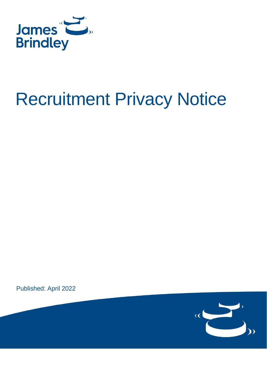

# Recruitment Privacy Notice

Published: April 2022

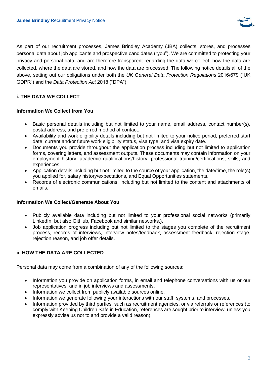

As part of our recruitment processes, James Brindley Academy (JBA) collects, stores, and processes personal data about job applicants and prospective candidates ("you"). We are committed to protecting your privacy and personal data, and are therefore transparent regarding the data we collect, how the data are collected, where the data are stored, and how the data are processed. The following notice details all of the above, setting out our obligations under both the *UK General Data Protection Regulations* 2016/679 ("UK GDPR") and the *Data Protection Act* 2018 ("DPA").

# **i. THE DATA WE COLLECT**

#### **Information We Collect from You**

- Basic personal details including but not limited to your name, email address, contact number(s), postal address, and preferred method of contact.
- Availability and work eligibility details including but not limited to your notice period, preferred start date, current and/or future work eligibility status, visa type, and visa expiry date.
- Documents you provide throughout the application process including but not limited to application forms, covering letters, and assessment outputs. These documents may contain information on your employment history, academic qualifications/history, professional training/certifications, skills, and experiences.
- Application details including but not limited to the source of your application, the date/time, the role(s) you applied for, salary history/expectations, and Equal Opportunities statements.
- Records of electronic communications, including but not limited to the content and attachments of emails.

#### **Information We Collect/Generate About You**

- Publicly available data including but not limited to your professional social networks (primarily LinkedIn, but also GitHub, Facebook and similar networks.).
- Job application progress including but not limited to the stages you complete of the recruitment process, records of interviews, interview notes/feedback, assessment feedback, rejection stage, rejection reason, and job offer details.

# **ii. HOW THE DATA ARE COLLECTED**

Personal data may come from a combination of any of the following sources:

- Information you provide on application forms, in email and telephone conversations with us or our representatives, and in job interviews and assessments.
- Information we collect from publicly available sources online.
- Information we generate following your interactions with our staff, systems, and processes.
- Information provided by third parties, such as recruitment agencies, or via referrals or references (to comply with Keeping Children Safe in Education, references are sought prior to interview, unless you expressly advise us not to and provide a valid reason).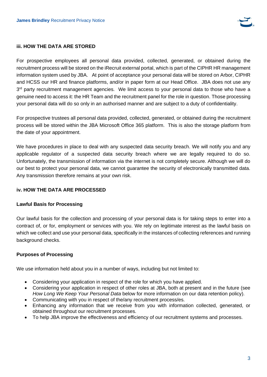

## **iii. HOW THE DATA ARE STORED**

For prospective employees all personal data provided, collected, generated, or obtained during the recruitment process will be stored on the iRecruit external portal, which is part of the CIPHR HR management information system used by JBA. At point of acceptance your personal data will be stored on Arbor, CIPHR and HCSS our HR and finance platforms, and/or in paper form at our Head Office. JBA does not use any 3<sup>rd</sup> party recruitment management agencies. We limit access to your personal data to those who have a genuine need to access it: the HR Team and the recruitment panel for the role in question. Those processing your personal data will do so only in an authorised manner and are subject to a duty of confidentiality.

For prospective trustees all personal data provided, collected, generated, or obtained during the recruitment process will be stored within the JBA Microsoft Office 365 platform. This is also the storage platform from the date of your appointment.

We have procedures in place to deal with any suspected data security breach. We will notify you and any applicable regulator of a suspected data security breach where we are legally required to do so. Unfortunately, the transmission of information via the internet is not completely secure. Although we will do our best to protect your personal data, we cannot guarantee the security of electronically transmitted data. Any transmission therefore remains at your own risk.

## **iv. HOW THE DATA ARE PROCESSED**

#### **Lawful Basis for Processing**

Our lawful basis for the collection and processing of your personal data is for taking steps to enter into a contract of, or for, employment or services with you. We rely on legitimate interest as the lawful basis on which we collect and use your personal data, specifically in the instances of collecting references and running background checks.

#### **Purposes of Processing**

We use information held about you in a number of ways, including but not limited to:

- Considering your application in respect of the role for which you have applied.
- Considering your application in respect of other roles at JBA, both at present and in the future (see *How Long We Keep Your Personal Data* below for more information on our data retention policy).
- Communicating with you in respect of the/any recruitment process/es.
- Enhancing any information that we receive from you with information collected, generated, or obtained throughout our recruitment processes.
- To help JBA improve the effectiveness and efficiency of our recruitment systems and processes.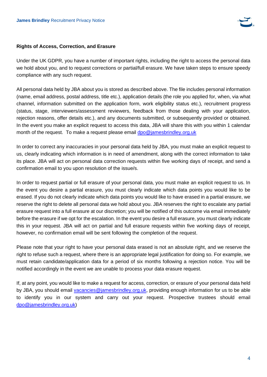

## **Rights of Access, Correction, and Erasure**

Under the UK GDPR, you have a number of important rights, including the right to access the personal data we hold about you, and to request corrections or partial/full erasure. We have taken steps to ensure speedy compliance with any such request.

All personal data held by JBA about you is stored as described above. The file includes personal information (name, email address, postal address, title etc.), application details (the role you applied for, when, via what channel, information submitted on the application form, work eligibility status etc.), recruitment progress (status, stage, interviewers/assessment reviewers, feedback from those dealing with your application, rejection reasons, offer details etc.), and any documents submitted, or subsequently provided or obtained. In the event you make an explicit request to access this data, JBA will share this with you within 1 calendar month of the request. To make a request please email [dpo@jamesbrindley.org.uk](mailto:dpo@jamesbrindley.org.uk)

In order to correct any inaccuracies in your personal data held by JBA, you must make an explicit request to us, clearly indicating which information is in need of amendment, along with the correct information to take its place. JBA will act on personal data correction requests within five working days of receipt, and send a confirmation email to you upon resolution of the issue/s.

In order to request partial or full erasure of your personal data, you must make an explicit request to us. In the event you desire a partial erasure, you must clearly indicate which data points you would like to be erased. If you do not clearly indicate which data points you would like to have erased in a partial erasure, we reserve the right to delete all personal data we hold about you. JBA reserves the right to escalate any partial erasure request into a full erasure at our discretion; you will be notified of this outcome via email immediately before the erasure if we opt for the escalation. In the event you desire a full erasure, you must clearly indicate this in your request. JBA will act on partial and full erasure requests within five working days of receipt, however, no confirmation email will be sent following the completion of the request.

Please note that your right to have your personal data erased is not an absolute right, and we reserve the right to refuse such a request, where there is an appropriate legal justification for doing so. For example, we must retain candidate/application data for a period of six months following a rejection notice. You will be notified accordingly in the event we are unable to process your data erasure request.

If, at any point, you would like to make a request for access, correction, or erasure of your personal data held by JBA, you should email [vacancies@jamesbrindley.org.uk,](mailto:vacancies@jamesbrindley.org.uk) providing enough information for us to be able to identify you in our system and carry out your request. Prospective trustees should email [dpo@jamesbrindley.org.uk\)](mailto:dpo@jamesbrindley.org.uk)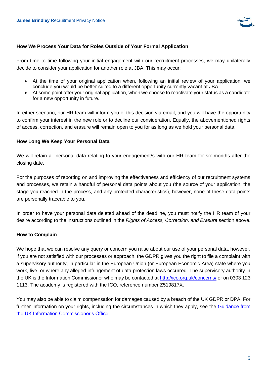

#### **How We Process Your Data for Roles Outside of Your Formal Application**

From time to time following your initial engagement with our recruitment processes, we may unilaterally decide to consider your application for another role at JBA. This may occur:

- At the time of your original application when, following an initial review of your application, we conclude you would be better suited to a different opportunity currently vacant at JBA.
- At some point after your original application, when we choose to reactivate your status as a candidate for a new opportunity in future.

In either scenario, our HR team will inform you of this decision via email, and you will have the opportunity to confirm your interest in the new role or to decline our consideration. Equally, the abovementioned rights of access, correction, and erasure will remain open to you for as long as we hold your personal data.

#### **How Long We Keep Your Personal Data**

We will retain all personal data relating to your engagement/s with our HR team for six months after the closing date.

For the purposes of reporting on and improving the effectiveness and efficiency of our recruitment systems and processes, we retain a handful of personal data points about you (the source of your application, the stage you reached in the process, and any protected characteristics), however, none of these data points are personally traceable to you.

In order to have your personal data deleted ahead of the deadline, you must notify the HR team of your desire according to the instructions outlined in the *Rights of Access, Correction, and Erasure* section above.

# **How to Complain**

We hope that we can resolve any query or concern you raise about our use of your personal data, however, if you are not satisfied with our processes or approach, the GDPR gives you the right to file a complaint with a supervisory authority, in particular in the European Union (or European Economic Area) state where you work, live, or where any alleged infringement of data protection laws occurred. The supervisory authority in the UK is the Information Commissioner who may be contacted at<http://ico.org.uk/concerns/> or on 0303 123 1113. The academy is registered with the ICO, reference number Z519817X.

You may also be able to claim compensation for damages caused by a breach of the UK GDPR or DPA. For further information on your rights, including the circumstances in which they apply, see the [Guidance from](https://ico.org.uk/for-organisations/guide-to-the-general-data-protection-regulation-gdpr/individual-rights/)  [the UK Information Commissioner's Office.](https://ico.org.uk/for-organisations/guide-to-the-general-data-protection-regulation-gdpr/individual-rights/)